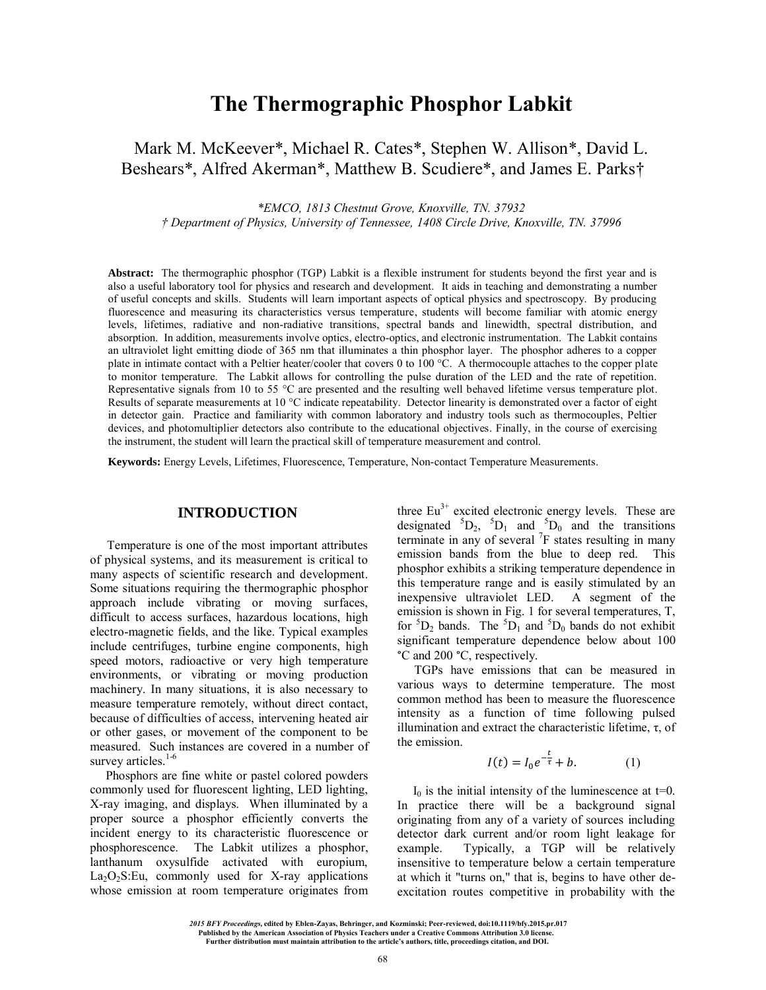# **The Thermographic Phosphor Labkit**

Mark M. McKeever\*, Michael R. Cates\*, Stephen W. Allison\*, David L. Beshears\*, Alfred Akerman\*, Matthew B. Scudiere\*, and James E. Parks†

*\*EMCO, 1813 Chestnut Grove, Knoxville, TN. 37932* 

*† Department of Physics, University of Tennessee, 1408 Circle Drive, Knoxville, TN. 37996* 

**Abstract:** The thermographic phosphor (TGP) Labkit is a flexible instrument for students beyond the first year and is also a useful laboratory tool for physics and research and development. It aids in teaching and demonstrating a number of useful concepts and skills. Students will learn important aspects of optical physics and spectroscopy. By producing fluorescence and measuring its characteristics versus temperature, students will become familiar with atomic energy levels, lifetimes, radiative and non-radiative transitions, spectral bands and linewidth, spectral distribution, and absorption. In addition, measurements involve optics, electro-optics, and electronic instrumentation. The Labkit contains an ultraviolet light emitting diode of 365 nm that illuminates a thin phosphor layer. The phosphor adheres to a copper plate in intimate contact with a Peltier heater/cooler that covers 0 to 100 °C. A thermocouple attaches to the copper plate to monitor temperature. The Labkit allows for controlling the pulse duration of the LED and the rate of repetition. Representative signals from 10 to 55 °C are presented and the resulting well behaved lifetime versus temperature plot. Results of separate measurements at 10 °C indicate repeatability. Detector linearity is demonstrated over a factor of eight in detector gain. Practice and familiarity with common laboratory and industry tools such as thermocouples, Peltier devices, and photomultiplier detectors also contribute to the educational objectives. Finally, in the course of exercising the instrument, the student will learn the practical skill of temperature measurement and control.

**Keywords:** Energy Levels, Lifetimes, Fluorescence, Temperature, Non-contact Temperature Measurements.

## **INTRODUCTION**

Temperature is one of the most important attributes of physical systems, and its measurement is critical to many aspects of scientific research and development. Some situations requiring the thermographic phosphor approach include vibrating or moving surfaces, difficult to access surfaces, hazardous locations, high electro-magnetic fields, and the like. Typical examples include centrifuges, turbine engine components, high speed motors, radioactive or very high temperature environments, or vibrating or moving production machinery. In many situations, it is also necessary to measure temperature remotely, without direct contact, because of difficulties of access, intervening heated air or other gases, or movement of the component to be measured. Such instances are covered in a number of survey articles.<sup>1-6</sup>

 Phosphors are fine white or pastel colored powders commonly used for fluorescent lighting, LED lighting, X-ray imaging, and displays. When illuminated by a proper source a phosphor efficiently converts the incident energy to its characteristic fluorescence or phosphorescence. The Labkit utilizes a phosphor, lanthanum oxysulfide activated with europium,  $La_2O_2S:Eu$ , commonly used for X-ray applications whose emission at room temperature originates from three  $Eu^{3+}$  excited electronic energy levels. These are designated  ${}^{5}D_{2}$ ,  ${}^{5}D_{1}$  and  ${}^{5}D_{0}$  and the transitions terminate in any of several  ${}^{7}F$  states resulting in many emission bands from the blue to deep red. This phosphor exhibits a striking temperature dependence in this temperature range and is easily stimulated by an inexpensive ultraviolet LED. A segment of the emission is shown in Fig. 1 for several temperatures, T, for  ${}^5D_2$  bands. The  ${}^5D_1$  and  ${}^5D_0$  bands do not exhibit significant temperature dependence below about 100 °C and 200 °C, respectively.

TGPs have emissions that can be measured in various ways to determine temperature. The most common method has been to measure the fluorescence intensity as a function of time following pulsed illumination and extract the characteristic lifetime, τ, of the emission.

$$
I(t) = I_0 e^{-\frac{t}{\tau}} + b. \tag{1}
$$

 $I_0$  is the initial intensity of the luminescence at t=0. In practice there will be a background signal originating from any of a variety of sources including detector dark current and/or room light leakage for example. Typically, a TGP will be relatively insensitive to temperature below a certain temperature at which it "turns on," that is, begins to have other deexcitation routes competitive in probability with the

**edited by Eblen-Zayas, Behringer, and Kozminski; Peer-reviewed, doi:10.1119/bfy.2015.pr.017**   *2015 BFY Proceedings,*

<sup>.</sup> Published by the American Association of Physics Teachers under a Creative Commons Attribution 3.0 license.<br>Further distribution must maintain attribution to the article's authors, title, proceedings citation, and DOI.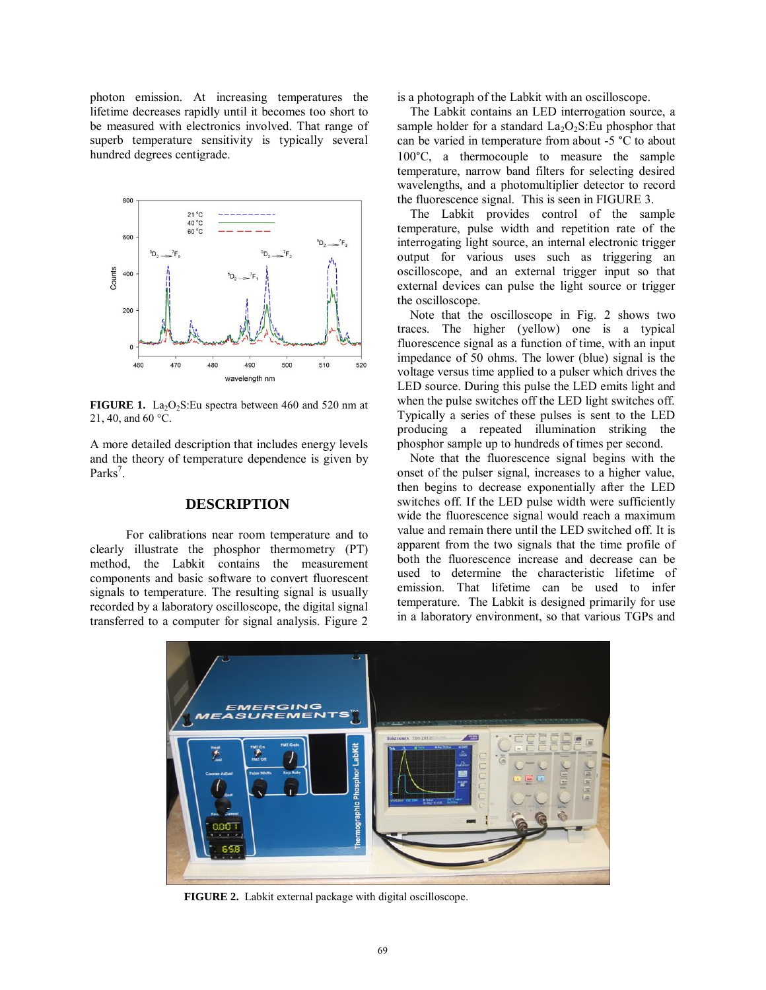photon emission. At increasing temperatures the lifetime decreases rapidly until it becomes too short to be measured with electronics involved. That range of superb temperature sensitivity is typically several hundred degrees centigrade.



FIGURE 1. La<sub>2</sub>O<sub>2</sub>S:Eu spectra between 460 and 520 nm at 21, 40, and 60  $^{\circ}$ C.

A more detailed description that includes energy levels and the theory of temperature dependence is given by Parks<sup>7</sup>.

### **DESCRIPTION**

For calibrations near room temperature and to clearly illustrate the phosphor thermometry (PT) method, the Labkit contains the measurement components and basic software to convert fluorescent signals to temperature. The resulting signal is usually recorded by a laboratory oscilloscope, the digital signal transferred to a computer for signal analysis. Figure 2

is a photograph of the Labkit with an oscilloscope.

 The Labkit contains an LED interrogation source, a sample holder for a standard  $La<sub>2</sub>O<sub>2</sub>S:Eu$  phosphor that can be varied in temperature from about -5 °C to about 100°C, a thermocouple to measure the sample temperature, narrow band filters for selecting desired wavelengths, and a photomultiplier detector to record the fluorescence signal. This is seen i[n FIGURE 3.](#page-2-0)

 The Labkit provides control of the sample temperature, pulse width and repetition rate of the interrogating light source, an internal electronic trigger output for various uses such as triggering an oscilloscope, and an external trigger input so that external devices can pulse the light source or trigger the oscilloscope.

 Note that the oscilloscope in Fig. 2 shows two traces. The higher (yellow) one is a typical fluorescence signal as a function of time, with an input impedance of 50 ohms. The lower (blue) signal is the voltage versus time applied to a pulser which drives the LED source. During this pulse the LED emits light and when the pulse switches off the LED light switches off. Typically a series of these pulses is sent to the LED producing a repeated illumination striking the phosphor sample up to hundreds of times per second.

 Note that the fluorescence signal begins with the onset of the pulser signal, increases to a higher value, then begins to decrease exponentially after the LED switches off. If the LED pulse width were sufficiently wide the fluorescence signal would reach a maximum value and remain there until the LED switched off. It is apparent from the two signals that the time profile of both the fluorescence increase and decrease can be used to determine the characteristic lifetime of emission. That lifetime can be used to infer temperature. The Labkit is designed primarily for use in a laboratory environment, so that various TGPs and



**FIGURE 2.** Labkit external package with digital oscilloscope.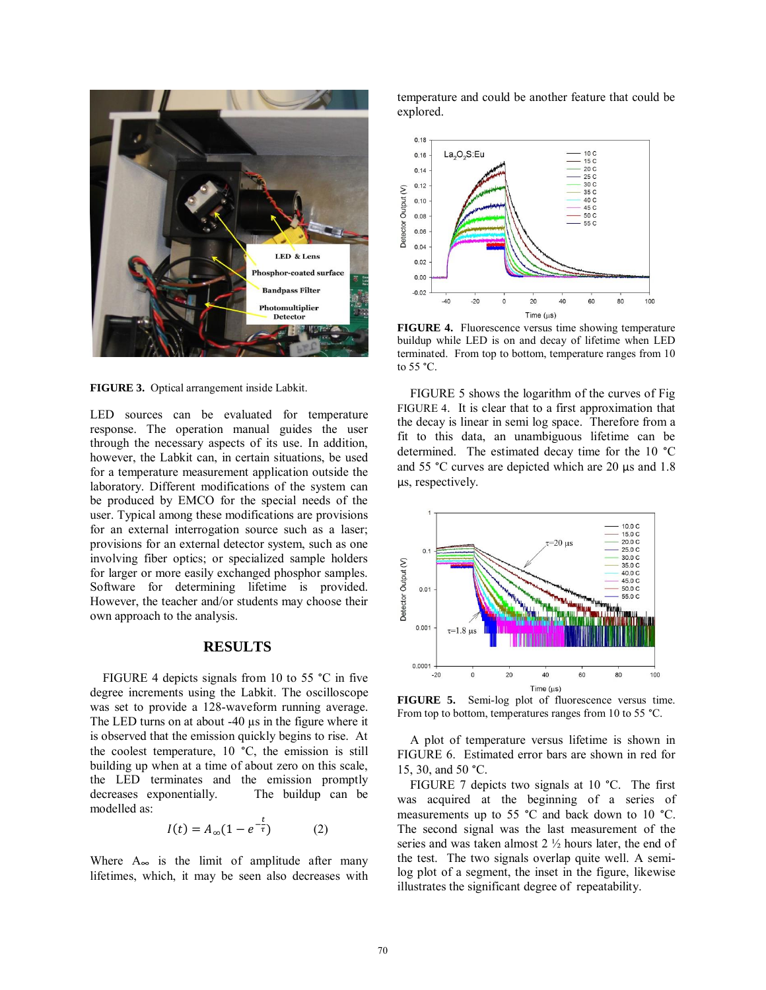

**FIGURE 3.** Optical arrangement inside Labkit.

<span id="page-2-0"></span>LED sources can be evaluated for temperature response. The operation manual guides the user through the necessary aspects of its use. In addition, however, the Labkit can, in certain situations, be used for a temperature measurement application outside the laboratory. Different modifications of the system can be produced by EMCO for the special needs of the user. Typical among these modifications are provisions for an external interrogation source such as a laser; provisions for an external detector system, such as one involving fiber optics; or specialized sample holders for larger or more easily exchanged phosphor samples. Software for determining lifetime is provided. However, the teacher and/or students may choose their own approach to the analysis.

### **RESULTS**

 [FIGURE 4](#page-2-1) depicts signals from 10 to 55 °C in five degree increments using the Labkit. The oscilloscope was set to provide a 128-waveform running average. The LED turns on at about -40  $\mu$ s in the figure where it is observed that the emission quickly begins to rise. At the coolest temperature, 10 °C, the emission is still building up when at a time of about zero on this scale, the LED terminates and the emission promptly decreases exponentially. The buildup can be modelled as:

$$
I(t) = A_{\infty}(1 - e^{-\frac{t}{\tau}})
$$
 (2)

Where  $A_{\infty}$  is the limit of amplitude after many lifetimes, which, it may be seen also decreases with temperature and could be another feature that could be explored.



<span id="page-2-1"></span>**FIGURE 4.** Fluorescence versus time showing temperature buildup while LED is on and decay of lifetime when LED terminated. From top to bottom, temperature ranges from 10 to 55 °C.

 [FIGURE 5](#page-2-2) shows the logarithm of the curves of Fig [FIGURE 4](#page-2-1). It is clear that to a first approximation that the decay is linear in semi log space. Therefore from a fit to this data, an unambiguous lifetime can be determined. The estimated decay time for the 10 °C and 55 °C curves are depicted which are 20  $\mu$ s and 1.8 µs, respectively.



<span id="page-2-2"></span>**FIGURE 5.** Semi-log plot of fluorescence versus time. From top to bottom, temperatures ranges from 10 to 55 °C.

 A plot of temperature versus lifetime is shown in [FIGURE 6.](#page-3-0) Estimated error bars are shown in red for 15, 30, and 50 °C.

 [FIGURE 7](#page-3-1) depicts two signals at 10 °C. The first was acquired at the beginning of a series of measurements up to 55 °C and back down to 10 °C. The second signal was the last measurement of the series and was taken almost 2 ½ hours later, the end of the test. The two signals overlap quite well. A semilog plot of a segment, the inset in the figure, likewise illustrates the significant degree of repeatability.